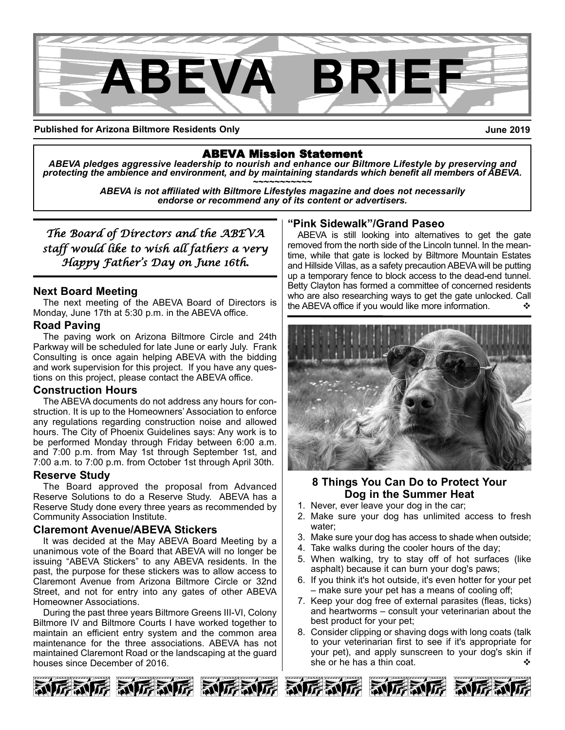

**Published for Arizona Biltmore Residents Only**

**June 2019**

ABEVA Mission Statement *ABEVA pledges aggressive leadership to nourish and enhance our Biltmore Lifestyle by preserving and* protecting the ambience and environment, and by maintaining standards which benefit all members of ABEVA.<br>ABEVA is not affiliated with Biltmore Lifestyles magazine and does not necessarily

*endorse or recommend any of its content or advertisers.*

*The Board of Directors and the ABEVA staff would like to wish all fathers a very Happy Father's Day on June 16th.* 

### **Next Board Meeting**

The next meeting of the ABEVA Board of Directors is Monday, June 17th at 5:30 p.m. in the ABEVA office.

### **Road Paving**

The paving work on Arizona Biltmore Circle and 24th Parkway will be scheduled for late June or early July. Frank Consulting is once again helping ABEVA with the bidding and work supervision for this project. If you have any questions on this project, please contact the ABEVA office.

### **Construction Hours**

The ABEVA documents do not address any hours for construction. It is up to the Homeowners' Association to enforce any regulations regarding construction noise and allowed hours. The City of Phoenix Guidelines says: Any work is to be performed Monday through Friday between 6:00 a.m. and 7:00 p.m. from May 1st through September 1st, and 7:00 a.m. to 7:00 p.m. from October 1st through April 30th.

### **Reserve Study**

The Board approved the proposal from Advanced Reserve Solutions to do a Reserve Study. ABEVA has a Reserve Study done every three years as recommended by Community Association Institute.

### **Claremont Avenue/ABEVA Stickers**

It was decided at the May ABEVA Board Meeting by a unanimous vote of the Board that ABEVA will no longer be issuing "ABEVA Stickers" to any ABEVA residents. In the past, the purpose for these stickers was to allow access to Claremont Avenue from Arizona Biltmore Circle or 32nd Street, and not for entry into any gates of other ABEVA Homeowner Associations.

During the past three years Biltmore Greens III-VI, Colony Biltmore IV and Biltmore Courts I have worked together to maintain an efficient entry system and the common area maintenance for the three associations. ABEVA has not maintained Claremont Road or the landscaping at the guard houses since December of 2016.

### **"Pink Sidewalk"/Grand Paseo**

ABEVA is still looking into alternatives to get the gate removed from the north side of the Lincoln tunnel. In the meantime, while that gate is locked by Biltmore Mountain Estates and Hillside Villas, as a safety precaution ABEVA will be putting up a temporary fence to block access to the dead-end tunnel. Betty Clayton has formed a committee of concerned residents who are also researching ways to get the gate unlocked. Call the ABEVA office if you would like more information.



### **8 Things You Can Do to Protect Your Dog in the Summer Heat**

- 1. Never, ever leave your dog in the car;
- 2. Make sure your dog has unlimited access to fresh water;
- 3. Make sure your dog has access to shade when outside;
- 4. Take walks during the cooler hours of the day;
- 5. When walking, try to stay off of hot surfaces (like asphalt) because it can burn your dog's paws;
- 6. If you think it's hot outside, it's even hotter for your pet – make sure your pet has a means of cooling off;
- 7. Keep your dog free of external parasites (fleas, ticks) and heartworms – consult your veterinarian about the best product for your pet;
- 8. Consider clipping or shaving dogs with long coats (talk to your veterinarian first to see if it's appropriate for your pet), and apply sunscreen to your dog's skin if she or he has a thin coat.  $\mathbf{\hat{v}}$







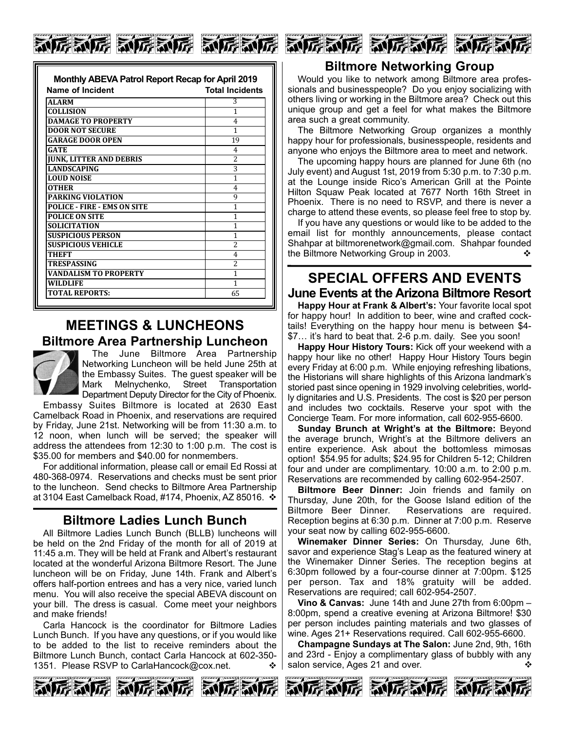| 和厉威厉 动厉威厉 | <b>对诉 对诉</b> |
|-----------|--------------|
|           |              |

| Name of Incident                   | <b>Total Incidents</b>   |
|------------------------------------|--------------------------|
| <b>ALARM</b>                       | 3                        |
| <b>COLLISION</b>                   | 1                        |
| <b>DAMAGE TO PROPERTY</b>          | 4                        |
| <b>DOOR NOT SECURE</b>             | 1                        |
| <b>GARAGE DOOR OPEN</b>            | 19                       |
| GATE                               | 4                        |
| <b>JUNK, LITTER AND DEBRIS</b>     | $\overline{\mathcal{L}}$ |
| LANDSCAPING                        | 3                        |
| <b>LOUD NOISE</b>                  | 1                        |
| <b>OTHER</b>                       | 4                        |
| <b>PARKING VIOLATION</b>           | 9                        |
| <b>POLICE - FIRE - EMS ON SITE</b> | 1                        |
| <b>POLICE ON SITE</b>              | 1                        |
| <b>SOLICITATION</b>                | 1                        |
| <b>SUSPICIOUS PERSON</b>           | 1                        |
| <b>SUSPICIOUS VEHICLE</b>          | $\overline{\mathcal{L}}$ |
| <b>THEFT</b>                       | 4                        |
| TRESPASSING                        | 2                        |
| <b>VANDALISM TO PROPERTY</b>       | 1                        |
| <b>WILDLIFE</b>                    | 1                        |
| <b>TOTAL REPORTS:</b>              | 65                       |

# **MEETINGS & LUNCHEONS Biltmore Area Partnership Luncheon**



**ZWTS** 

The June Biltmore Area Partnership Networking Luncheon will be held June 25th at the Embassy Suites. The guest speaker will be Mark Melnychenko, Street Transportation Department Deputy Director for the City of Phoenix.

Embassy Suites Biltmore is located at 2630 East Camelback Road in Phoenix, and reservations are required by Friday, June 21st. Networking will be from 11:30 a.m. to 12 noon, when lunch will be served; the speaker will address the attendees from 12:30 to 1:00 p.m. The cost is \$35.00 for members and \$40.00 for nonmembers.

For additional information, please call or email Ed Rossi at 480-368-0974. Reservations and checks must be sent prior to the luncheon. Send checks to Biltmore Area Partnership at 3104 East Camelback Road, #174, Phoenix, AZ 85016.  $\div$ 

## **Biltmore Ladies Lunch Bunch**

All Biltmore Ladies Lunch Bunch (BLLB) luncheons will be held on the 2nd Friday of the month for all of 2019 at 11:45 a.m. They will be held at Frank and Albert's restaurant located at the wonderful Arizona Biltmore Resort. The June luncheon will be on Friday, June 14th. Frank and Albert's offers half-portion entrees and has a very nice, varied lunch menu. You will also receive the special ABEVA discount on your bill. The dress is casual. Come meet your neighbors and make friends!

Carla Hancock is the coordinator for Biltmore Ladies Lunch Bunch. If you have any questions, or if you would like to be added to the list to receive reminders about the Biltmore Lunch Bunch, contact Carla Hancock at 602-350- 1351. Please RSVP to CarlaHancock@cox.net.  $\cdot \cdot \cdot$ 





Would you like to network among Biltmore area professionals and businesspeople? Do you enjoy socializing with others living or working in the Biltmore area? Check out this unique group and get a feel for what makes the Biltmore area such a great community.

The Biltmore Networking Group organizes a monthly happy hour for professionals, businesspeople, residents and anyone who enjoys the Biltmore area to meet and network.

The upcoming happy hours are planned for June 6th (no July event) and August 1st, 2019 from 5:30 p.m. to 7:30 p.m. at the Lounge inside Rico's American Grill at the Pointe Hilton Squaw Peak located at 7677 North 16th Street in Phoenix. There is no need to RSVP, and there is never a charge to attend these events, so please feel free to stop by.

If you have any questions or would like to be added to the email list for monthly announcements, please contact Shahpar at biltmorenetwork@gmail.com. Shahpar founded the Biltmore Networking Group in 2003.  $\diamond$ 

# **SPECIAL OFFERS AND EVENTS June Events at the Arizona Biltmore Resort**

**Happy Hour at Frank & Albert's:** Your favorite local spot for happy hour! In addition to beer, wine and crafted cocktails! Everything on the happy hour menu is between \$4- \$7… it's hard to beat that. 2-6 p.m. daily. See you soon!

**Happy Hour History Tours:** Kick off your weekend with a happy hour like no other! Happy Hour History Tours begin every Friday at 6:00 p.m. While enjoying refreshing libations, the Historians will share highlights of this Arizona landmark's storied past since opening in 1929 involving celebrities, worldly dignitaries and U.S. Presidents. The cost is \$20 per person and includes two cocktails. Reserve your spot with the Concierge Team. For more information, call 602-955-6600.

**Sunday Brunch at Wright's at the Biltmore:** Beyond the average brunch, Wright's at the Biltmore delivers an entire experience. Ask about the bottomless mimosas option! \$54.95 for adults; \$24.95 for Children 5-12; Children four and under are complimentary. 10:00 a.m. to 2:00 p.m. Reservations are recommended by calling 602-954-2507.

**Biltmore Beer Dinner:** Join friends and family on Thursday, June 20th, for the Goose Island edition of the Biltmore Beer Dinner. Reservations are required. Reception begins at 6:30 p.m. Dinner at 7:00 p.m. Reserve your seat now by calling 602-955-6600.

**Winemaker Dinner Series:** On Thursday, June 6th, savor and experience Stag's Leap as the featured winery at the Winemaker Dinner Series. The reception begins at 6:30pm followed by a four-course dinner at 7:00pm. \$125 per person. Tax and 18% gratuity will be added. Reservations are required; call 602-954-2507.

**Vino & Canvas:** June 14th and June 27th from 6:00pm – 8:00pm, spend a creative evening at Arizona Biltmore! \$30 per person includes painting materials and two glasses of wine. Ages 21+ Reservations required. Call 602-955-6600.

**Champagne Sundays at The Salon:** June 2nd, 9th, 16th and 23rd - Enjoy a complimentary glass of bubbly with any salon service, Ages 21 and over.





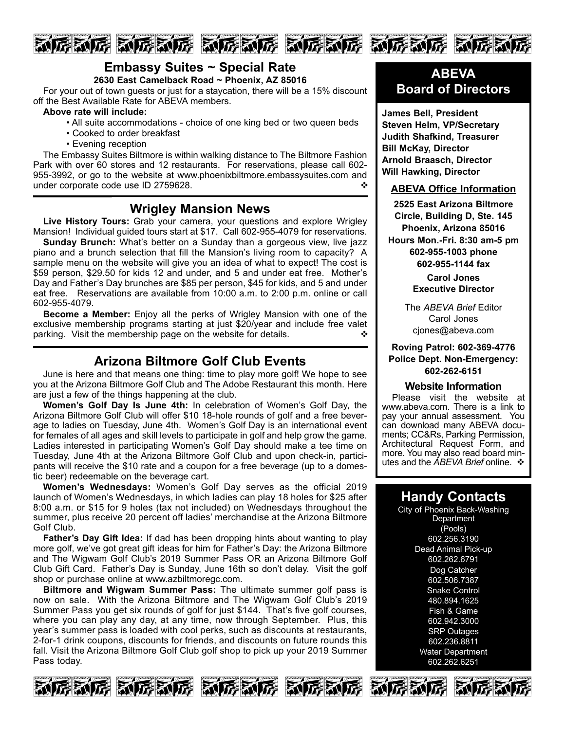





# **Embassy Suites ~ Special Rate**

**2630 East Camelback Road ~ Phoenix, AZ 85016**

For your out of town guests or just for a staycation, there will be a 15% discount off the Best Available Rate for ABEVA members.

#### **Above rate will include:**

- All suite accommodations choice of one king bed or two queen beds
- Cooked to order breakfast
- Evening reception

The Embassy Suites Biltmore is within walking distance to The Biltmore Fashion Park with over 60 stores and 12 restaurants. For reservations, please call 602- 955-3992, or go to the website at www.phoenixbiltmore.embassysuites.com and under corporate code use ID 2759628.  $\cdot$ 

# **Wrigley Mansion News**

**Live History Tours:** Grab your camera, your questions and explore Wrigley Mansion! Individual guided tours start at \$17. Call 602-955-4079 for reservations.

**Sunday Brunch:** What's better on a Sunday than a gorgeous view, live jazz piano and a brunch selection that fill the Mansion's living room to capacity? A sample menu on the website will give you an idea of what to expect! The cost is \$59 person, \$29.50 for kids 12 and under, and 5 and under eat free. Mother's Day and Father's Day brunches are \$85 per person, \$45 for kids, and 5 and under eat free. Reservations are available from 10:00 a.m. to 2:00 p.m. online or call 602-955-4079.

**Become a Member:** Enjoy all the perks of Wrigley Mansion with one of the exclusive membership programs starting at just \$20/year and include free valet parking. Visit the membership page on the website for details.  $\cdot$ 

# **Arizona Biltmore Golf Club Events**

June is here and that means one thing: time to play more golf! We hope to see you at the Arizona Biltmore Golf Club and The Adobe Restaurant this month. Here are just a few of the things happening at the club.

**Women's Golf Day Is June 4th:** In celebration of Women's Golf Day, the Arizona Biltmore Golf Club will offer \$10 18-hole rounds of golf and a free beverage to ladies on Tuesday, June 4th. Women's Golf Day is an international event for females of all ages and skill levels to participate in golf and help grow the game. Ladies interested in participating Women's Golf Day should make a tee time on Tuesday, June 4th at the Arizona Biltmore Golf Club and upon check-in, participants will receive the \$10 rate and a coupon for a free beverage (up to a domestic beer) redeemable on the beverage cart.

**Women's Wednesdays:** Women's Golf Day serves as the official 2019 launch of Women's Wednesdays, in which ladies can play 18 holes for \$25 after 8:00 a.m. or \$15 for 9 holes (tax not included) on Wednesdays throughout the summer, plus receive 20 percent off ladies' merchandise at the Arizona Biltmore Golf Club.

**Father's Day Gift Idea:** If dad has been dropping hints about wanting to play more golf, we've got great gift ideas for him for Father's Day: the Arizona Biltmore and The Wigwam Golf Club's 2019 Summer Pass OR an Arizona Biltmore Golf Club Gift Card. Father's Day is Sunday, June 16th so don't delay. Visit the golf shop or purchase online at www.azbiltmoregc.com.

**Biltmore and Wigwam Summer Pass:** The ultimate summer golf pass is now on sale. With the Arizona Biltmore and The Wigwam Golf Club's 2019 Summer Pass you get six rounds of golf for just \$144. That's five golf courses, where you can play any day, at any time, now through September. Plus, this year's summer pass is loaded with cool perks, such as discounts at restaurants, 2-for-1 drink coupons, discounts for friends, and discounts on future rounds this fall. Visit the Arizona Biltmore Golf Club golf shop to pick up your 2019 Summer Pass today.

# **ABEVA Board of Directors**

**James Bell, President Steven Helm, VP/Secretary Judith Shafkind, Treasurer Bill McKay, Director Arnold Braasch, Director Will Hawking, Director**

### **ABEVA Office Information**

**2525 East Arizona Biltmore Circle, Building D, Ste. 145 Phoenix, Arizona 85016 Hours Mon.-Fri. 8:30 am-5 pm 602-955-1003 phone 602-955-1144 fax**

> **Carol Jones Executive Director**

The *ABEVA Brief* Editor Carol Jones cjones@abeva.com

### **Roving Patrol: 602-369-4776 Police Dept. Non-Emergency: 602-262-6151**

### **Website Information**

Please visit the website at www.abeva.com. There is a link to pay your annual assessment. You can download many ABEVA documents; CC&Rs, Parking Permission, Architectural Request Form, and more. You may also read board minutes and the *ABEVA Brief* online. ❖

# **Handy Contacts**

City of Phoenix Back-Washing **Department** (Pools) 602.256.3190 Dead Animal Pick-up 602.262.6791 Dog Catcher 602.506.7387 **Snake Control** 480.894.1625 Fish & Game 602.942.3000 SRP Outages 602.236.8811 Water Department 602.262.6251